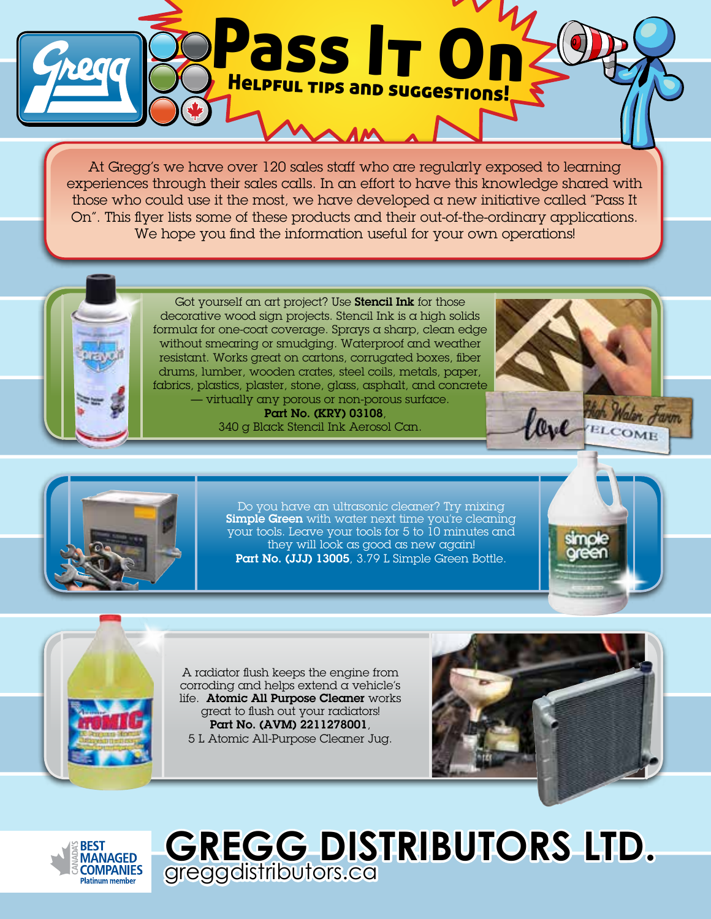

At Gregg's we have over 120 sales staff who are regularly exposed to learning experiences through their sales calls. In an effort to have this knowledge shared with those who could use it the most, we have developed a new initiative called "Pass It On". This flyer lists some of these products and their out-of-the-ordinary applications. We hope you find the information useful for your own operations!



Got yourself an art project? Use **Stencil Ink** for those decorative wood sign projects. Stencil Ink is a high solids formula for one-coat coverage. Sprays a sharp, clean edge without smearing or smudging. Waterproof and weather resistant. Works great on cartons, corrugated boxes, fiber drums, lumber, wooden crates, steel coils, metals, paper, fabrics, plastics, plaster, stone, glass, asphalt, and concrete — virtually any porous or non-porous surface.

 Part No. (KRY) 03108, 340 g Black Stencil Ink Aerosol Can.





Do you have an ultrasonic cleaner? Try mixing **Simple Green** with water next time you're cleaning your tools. Leave your tools for 5 to 10 minutes and they will look as good as new again! Part No. (JJJ) 13005, 3.79 L Simple Green Bottle.





A radiator flush keeps the engine from corroding and helps extend  $\alpha$  vehicle's life. Atomic All Purpose Cleaner works great to flush out your radiators! Part No. (AVM) 2211278001, 5 L Atomic All-Purpose Cleaner Jug.





**GREGG DISTRIBUTORS LTD.**  greggdistributors.ca